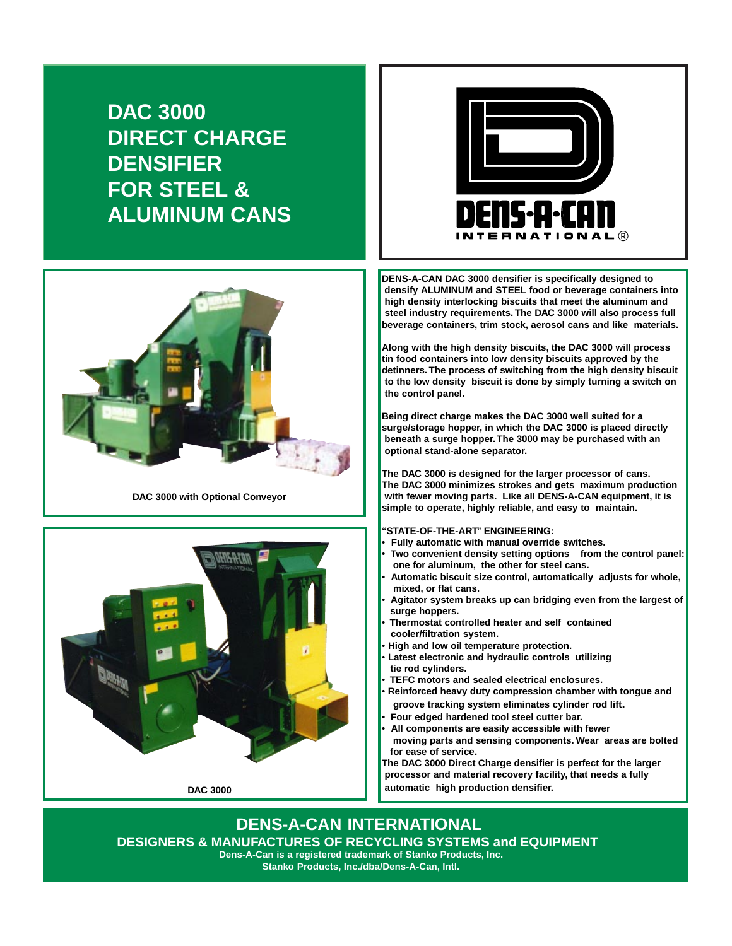**DAC 3000 DIRECT CHARGE DENSIFIER FOR STEEL & ALUMINUM CANS**



**DAC 3000 with Optional Conveyor**



**DAC 3000**



**DENS-A-CAN DAC 3000 densifier is specifically designed to densify ALUMINUM and STEEL food or beverage containers into high density interlocking biscuits that meet the aluminum and steel industry requirements. The DAC 3000 will also process full beverage containers, trim stock, aerosol cans and like materials.**

**Along with the high density biscuits, the DAC 3000 will process tin food containers into low density biscuits approved by the detinners. The process of switching from the high density biscuit to the low density biscuit is done by simply turning a switch on the control panel.**

**Being direct charge makes the DAC 3000 well suited for a surge/storage hopper, in which the DAC 3000 is placed directly beneath a surge hopper. The 3000 may be purchased with an optional stand-alone separator.**

**The DAC 3000 is designed for the larger processor of cans. The DAC 3000 minimizes strokes and gets maximum production with fewer moving parts. Like all DENS-A-CAN equipment, it is simple to operate, highly reliable, and easy to maintain.**

**"STATE-OF-THE-ART**" **ENGINEERING:**

- **Fully automatic with manual override switches.**
- **Two convenient density setting options from the control panel: one for aluminum, the other for steel cans.**
- **Automatic biscuit size control, automatically adjusts for whole, mixed, or flat cans.**
- **Agitator system breaks up can bridging even from the largest of surge hoppers.**
- **Thermostat controlled heater and self contained cooler/filtration system.**
- **High and low oil temperature protection.**
- **Latest electronic and hydraulic controls utilizing tie rod cylinders.**
- **TEFC motors and sealed electrical enclosures.**
- **Reinforced heavy duty compression chamber with tongue and groove tracking system eliminates cylinder rod lift.**
- **Four edged hardened tool steel cutter bar.**
- **All components are easily accessible with fewer moving parts and sensing components. Wear areas are bolted for ease of service.**

**The DAC 3000 Direct Charge densifier is perfect for the larger processor and material recovery facility, that needs a fully automatic high production densifier.**

**DENS-A-CAN INTERNATIONAL DESIGNERS & MANUFACTURES OF RECYCLING SYSTEMS and EQUIPMENT Dens-A-Can is a registered trademark of Stanko Products, Inc.**

**Stanko Products, Inc./dba/Dens-A-Can, Intl.**